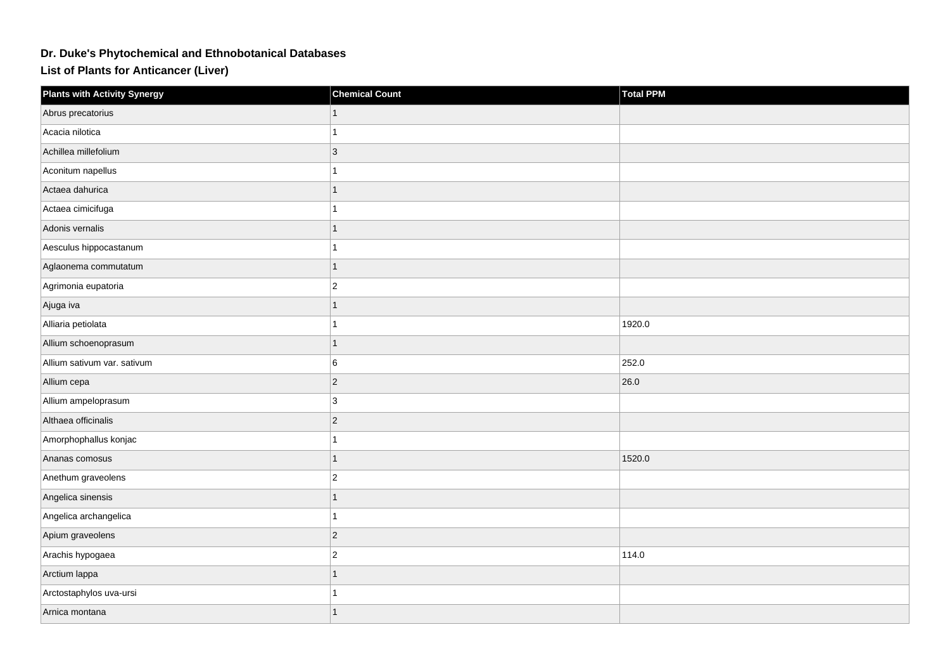## **Dr. Duke's Phytochemical and Ethnobotanical Databases**

**List of Plants for Anticancer (Liver)**

| <b>Plants with Activity Synergy</b> | <b>Chemical Count</b> | <b>Total PPM</b> |
|-------------------------------------|-----------------------|------------------|
| Abrus precatorius                   |                       |                  |
| Acacia nilotica                     | 1                     |                  |
| Achillea millefolium                | $ 3\rangle$           |                  |
| Aconitum napellus                   | 1                     |                  |
| Actaea dahurica                     | $\mathbf{1}$          |                  |
| Actaea cimicifuga                   | $\mathbf{1}$          |                  |
| Adonis vernalis                     |                       |                  |
| Aesculus hippocastanum              | 1                     |                  |
| Aglaonema commutatum                | $\mathbf{1}$          |                  |
| Agrimonia eupatoria                 | $ 2\rangle$           |                  |
| Ajuga iva                           | $\mathbf{1}$          |                  |
| Alliaria petiolata                  | 1                     | 1920.0           |
| Allium schoenoprasum                | $\mathbf{1}$          |                  |
| Allium sativum var. sativum         | 6                     | 252.0            |
| Allium cepa                         | $ 2\rangle$           | 26.0             |
| Allium ampeloprasum                 | 3                     |                  |
| Althaea officinalis                 | $ 2\rangle$           |                  |
| Amorphophallus konjac               | 1                     |                  |
| Ananas comosus                      | 1                     | 1520.0           |
| Anethum graveolens                  | $ 2\rangle$           |                  |
| Angelica sinensis                   | 1                     |                  |
| Angelica archangelica               | $\mathbf{1}$          |                  |
| Apium graveolens                    | $ 2\rangle$           |                  |
| Arachis hypogaea                    | $ 2\rangle$           | 114.0            |
| Arctium lappa                       | 1                     |                  |
| Arctostaphylos uva-ursi             | 1                     |                  |
| Arnica montana                      | 1                     |                  |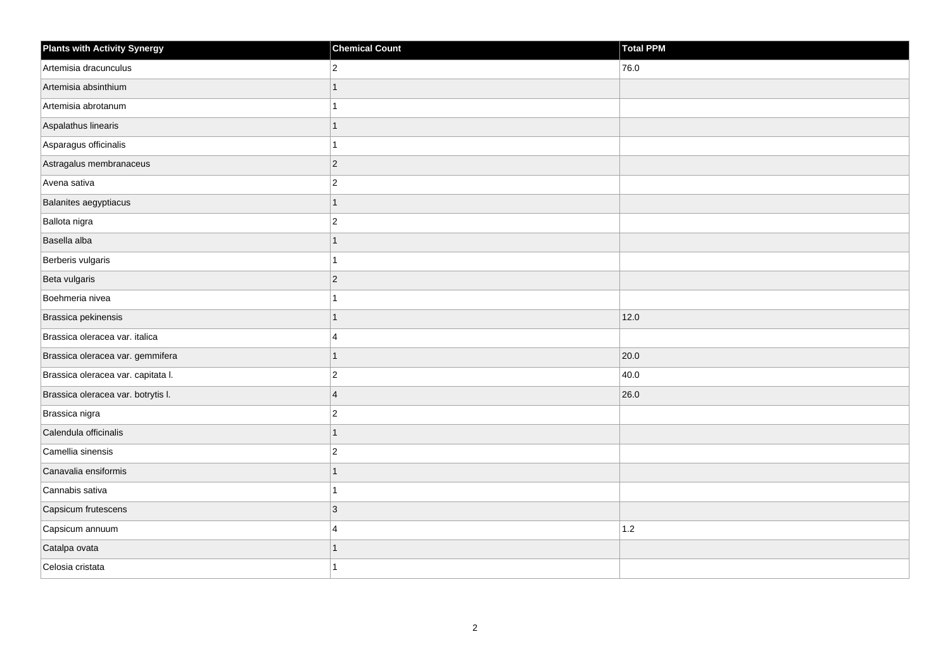| <b>Plants with Activity Synergy</b> | <b>Chemical Count</b> | <b>Total PPM</b> |
|-------------------------------------|-----------------------|------------------|
| Artemisia dracunculus               | $\overline{2}$        | 76.0             |
| Artemisia absinthium                | 1                     |                  |
| Artemisia abrotanum                 | 1                     |                  |
| Aspalathus linearis                 | $\overline{1}$        |                  |
| Asparagus officinalis               | 1                     |                  |
| Astragalus membranaceus             | $ 2\rangle$           |                  |
| Avena sativa                        | $\vert$ 2             |                  |
| Balanites aegyptiacus               | $\overline{1}$        |                  |
| Ballota nigra                       | $ 2\rangle$           |                  |
| Basella alba                        | 1                     |                  |
| Berberis vulgaris                   | $\mathbf{1}$          |                  |
| Beta vulgaris                       | $ 2\rangle$           |                  |
| Boehmeria nivea                     | $\mathbf{1}$          |                  |
| Brassica pekinensis                 | $\mathbf{1}$          | 12.0             |
| Brassica oleracea var. italica      | 4                     |                  |
| Brassica oleracea var. gemmifera    | $\overline{1}$        | 20.0             |
| Brassica oleracea var. capitata I.  | $ 2\rangle$           | 40.0             |
| Brassica oleracea var. botrytis I.  | $\overline{4}$        | 26.0             |
| Brassica nigra                      | $ 2\rangle$           |                  |
| Calendula officinalis               | 1                     |                  |
| Camellia sinensis                   | $ 2\rangle$           |                  |
| Canavalia ensiformis                | 1                     |                  |
| Cannabis sativa                     | 1                     |                  |
| Capsicum frutescens                 | 3                     |                  |
| Capsicum annuum                     | 4                     | $1.2$            |
| Catalpa ovata                       | 1                     |                  |
| Celosia cristata                    | 1                     |                  |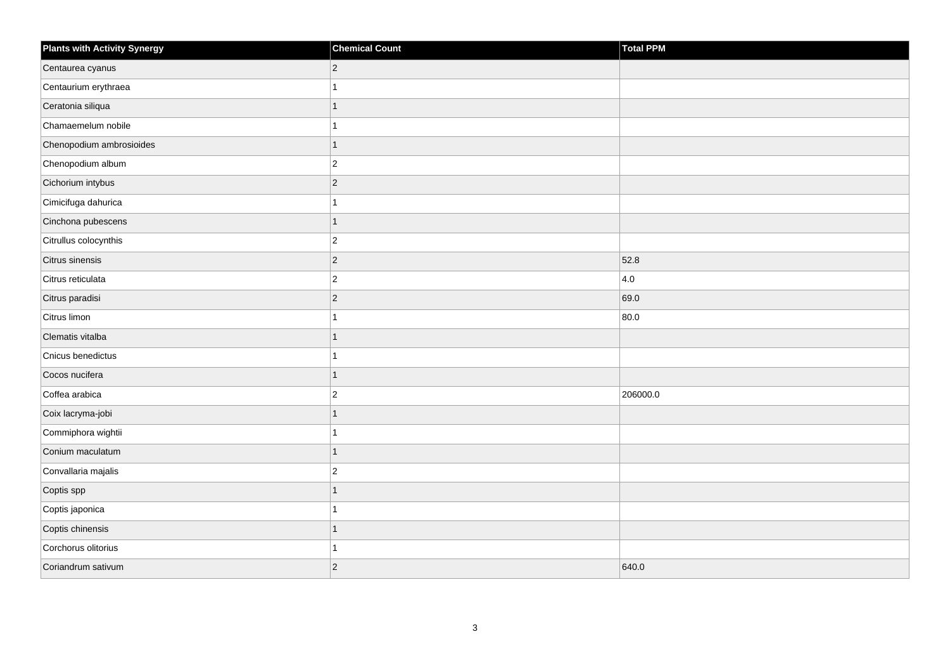| <b>Plants with Activity Synergy</b> | <b>Chemical Count</b> | Total PPM |
|-------------------------------------|-----------------------|-----------|
| Centaurea cyanus                    | $\overline{2}$        |           |
| Centaurium erythraea                |                       |           |
| Ceratonia siliqua                   |                       |           |
| Chamaemelum nobile                  | 1                     |           |
| Chenopodium ambrosioides            | 1                     |           |
| Chenopodium album                   | $\overline{2}$        |           |
| Cichorium intybus                   | $\overline{2}$        |           |
| Cimicifuga dahurica                 |                       |           |
| Cinchona pubescens                  | 1                     |           |
| Citrullus colocynthis               | $\overline{2}$        |           |
| Citrus sinensis                     | $\overline{2}$        | 52.8      |
| Citrus reticulata                   | $\overline{c}$        | 4.0       |
| Citrus paradisi                     | $\overline{2}$        | 69.0      |
| Citrus limon                        |                       | 80.0      |
| Clematis vitalba                    |                       |           |
| Cnicus benedictus                   |                       |           |
| Cocos nucifera                      |                       |           |
| Coffea arabica                      | $\overline{c}$        | 206000.0  |
| Coix lacryma-jobi                   | 1                     |           |
| Commiphora wightii                  |                       |           |
| Conium maculatum                    | 1                     |           |
| Convallaria majalis                 | $\overline{2}$        |           |
| Coptis spp                          |                       |           |
| Coptis japonica                     |                       |           |
| Coptis chinensis                    | 1                     |           |
| Corchorus olitorius                 |                       |           |
| Coriandrum sativum                  | $\overline{c}$        | 640.0     |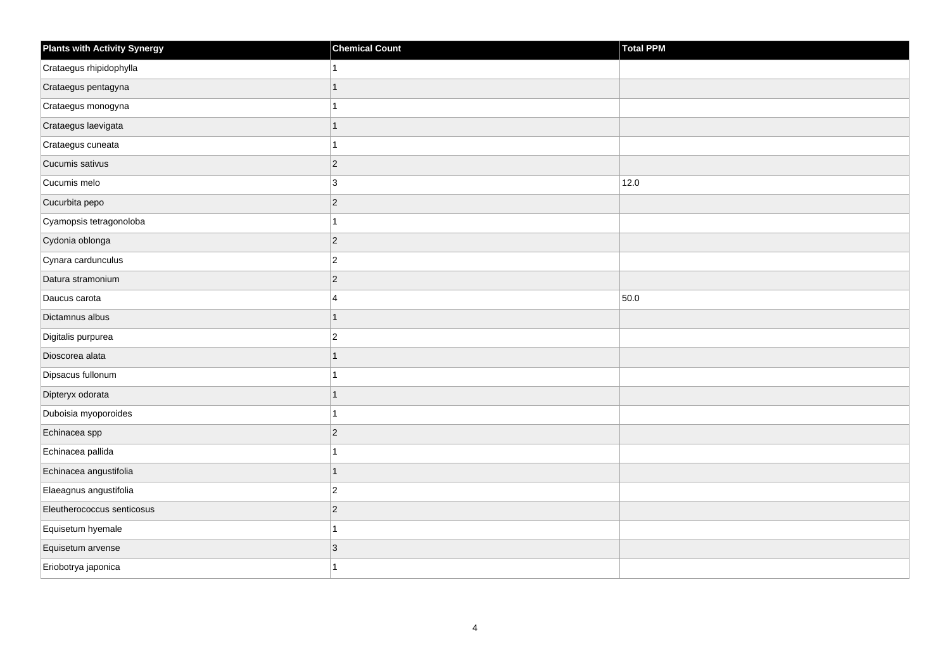| <b>Plants with Activity Synergy</b> | <b>Chemical Count</b> | Total PPM |
|-------------------------------------|-----------------------|-----------|
| Crataegus rhipidophylla             |                       |           |
| Crataegus pentagyna                 | 1                     |           |
| Crataegus monogyna                  |                       |           |
| Crataegus laevigata                 | $\overline{1}$        |           |
| Crataegus cuneata                   |                       |           |
| Cucumis sativus                     | $\overline{2}$        |           |
| Cucumis melo                        | 3                     | 12.0      |
| Cucurbita pepo                      | $\overline{2}$        |           |
| Cyamopsis tetragonoloba             |                       |           |
| Cydonia oblonga                     | $\overline{c}$        |           |
| Cynara cardunculus                  | $\overline{2}$        |           |
| Datura stramonium                   | $\overline{2}$        |           |
| Daucus carota                       | 4                     | 50.0      |
| Dictamnus albus                     | 1                     |           |
| Digitalis purpurea                  | $\overline{2}$        |           |
| Dioscorea alata                     | $\overline{1}$        |           |
| Dipsacus fullonum                   |                       |           |
| Dipteryx odorata                    | 1                     |           |
| Duboisia myoporoides                | 1                     |           |
| Echinacea spp                       | $\overline{2}$        |           |
| Echinacea pallida                   |                       |           |
| Echinacea angustifolia              | 1                     |           |
| Elaeagnus angustifolia              | $\overline{2}$        |           |
| Eleutherococcus senticosus          | $\overline{2}$        |           |
| Equisetum hyemale                   | 1                     |           |
| Equisetum arvense                   | 3                     |           |
| Eriobotrya japonica                 |                       |           |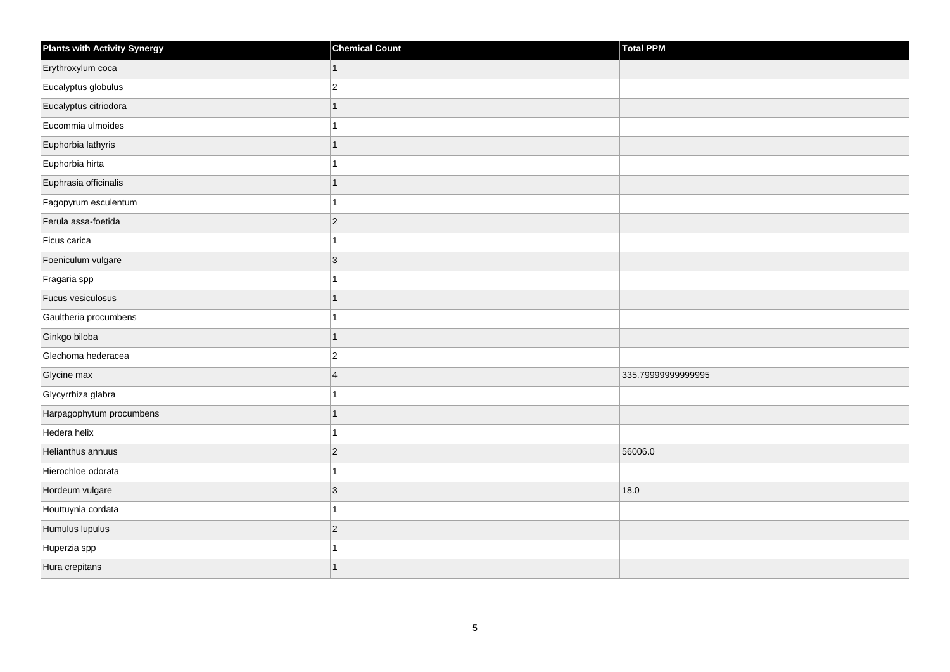| <b>Plants with Activity Synergy</b> | <b>Chemical Count</b>   | Total PPM          |
|-------------------------------------|-------------------------|--------------------|
| Erythroxylum coca                   | $\mathbf{1}$            |                    |
| Eucalyptus globulus                 | $\overline{\mathbf{c}}$ |                    |
| Eucalyptus citriodora               | $\overline{1}$          |                    |
| Eucommia ulmoides                   | 1                       |                    |
| Euphorbia lathyris                  | $\overline{1}$          |                    |
| Euphorbia hirta                     | 1                       |                    |
| Euphrasia officinalis               | $\overline{1}$          |                    |
| Fagopyrum esculentum                | 1                       |                    |
| Ferula assa-foetida                 | $\overline{c}$          |                    |
| Ficus carica                        | 1                       |                    |
| Foeniculum vulgare                  | 3                       |                    |
| Fragaria spp                        | 1                       |                    |
| <b>Fucus vesiculosus</b>            | $\mathbf{1}$            |                    |
| Gaultheria procumbens               | 1                       |                    |
| Ginkgo biloba                       | $\overline{1}$          |                    |
| Glechoma hederacea                  | $\overline{2}$          |                    |
| Glycine max                         | $\overline{4}$          | 335.79999999999995 |
| Glycyrrhiza glabra                  | 1                       |                    |
| Harpagophytum procumbens            | $\mathbf{1}$            |                    |
| Hedera helix                        | 1                       |                    |
| Helianthus annuus                   | $\overline{c}$          | 56006.0            |
| Hierochloe odorata                  | 1                       |                    |
| Hordeum vulgare                     | 3                       | 18.0               |
| Houttuynia cordata                  | 1                       |                    |
| Humulus lupulus                     | $\overline{c}$          |                    |
| Huperzia spp                        | 1                       |                    |
| Hura crepitans                      | $\overline{1}$          |                    |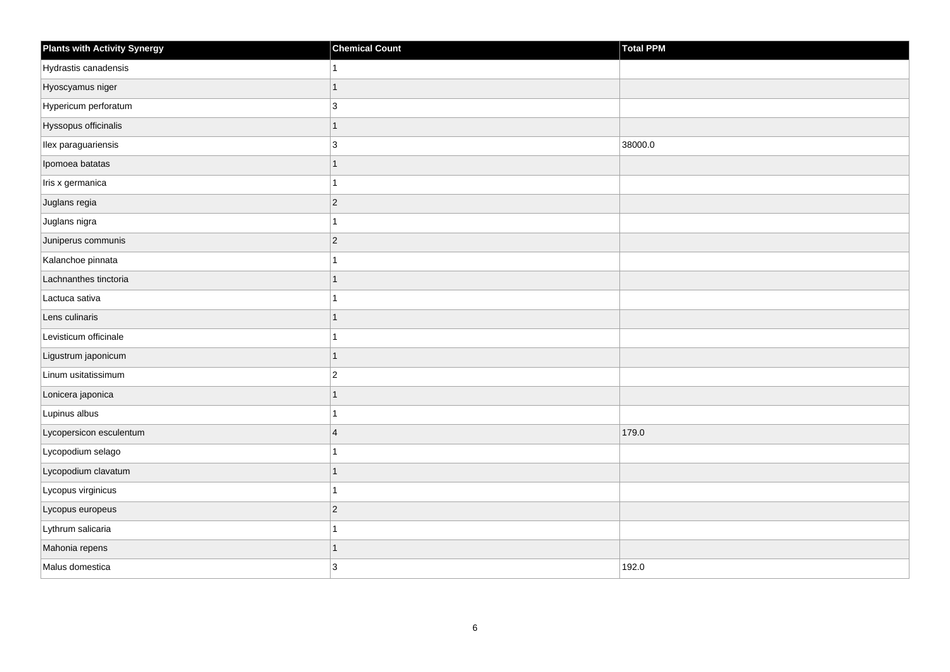| <b>Plants with Activity Synergy</b> | <b>Chemical Count</b>   | Total PPM |
|-------------------------------------|-------------------------|-----------|
| Hydrastis canadensis                |                         |           |
| Hyoscyamus niger                    | 1                       |           |
| Hypericum perforatum                | 3                       |           |
| Hyssopus officinalis                | 1                       |           |
| Ilex paraguariensis                 | $\mathbf{3}$            | 38000.0   |
| Ipomoea batatas                     |                         |           |
| Iris x germanica                    |                         |           |
| Juglans regia                       | $\overline{2}$          |           |
| Juglans nigra                       |                         |           |
| Juniperus communis                  | $\overline{2}$          |           |
| Kalanchoe pinnata                   |                         |           |
| Lachnanthes tinctoria               | 1                       |           |
| Lactuca sativa                      |                         |           |
| Lens culinaris                      |                         |           |
| Levisticum officinale               |                         |           |
| Ligustrum japonicum                 | 1                       |           |
| Linum usitatissimum                 | $\overline{2}$          |           |
| Lonicera japonica                   | 1                       |           |
| Lupinus albus                       |                         |           |
| Lycopersicon esculentum             | $\overline{\mathbf{A}}$ | 179.0     |
| Lycopodium selago                   |                         |           |
| Lycopodium clavatum                 | 1                       |           |
| Lycopus virginicus                  |                         |           |
| Lycopus europeus                    | $\overline{c}$          |           |
| Lythrum salicaria                   |                         |           |
| Mahonia repens                      |                         |           |
| Malus domestica                     | 3                       | 192.0     |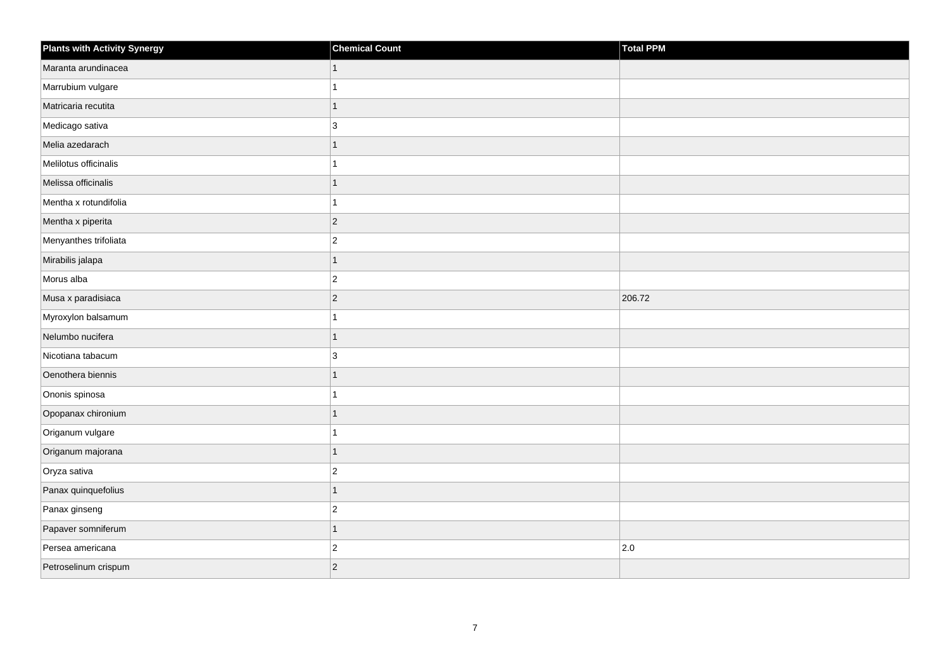| <b>Plants with Activity Synergy</b> | <b>Chemical Count</b> | Total PPM |
|-------------------------------------|-----------------------|-----------|
| Maranta arundinacea                 | 1                     |           |
| Marrubium vulgare                   |                       |           |
| Matricaria recutita                 | 1                     |           |
| Medicago sativa                     | 3                     |           |
| Melia azedarach                     | 1                     |           |
| Melilotus officinalis               |                       |           |
| Melissa officinalis                 | 1                     |           |
| Mentha x rotundifolia               |                       |           |
| Mentha x piperita                   | $\overline{2}$        |           |
| Menyanthes trifoliata               | $\overline{c}$        |           |
| Mirabilis jalapa                    | 1                     |           |
| Morus alba                          | $\overline{2}$        |           |
| Musa x paradisiaca                  | $\overline{2}$        | 206.72    |
| Myroxylon balsamum                  |                       |           |
| Nelumbo nucifera                    | $\overline{1}$        |           |
| Nicotiana tabacum                   | 3                     |           |
| Oenothera biennis                   |                       |           |
| Ononis spinosa                      |                       |           |
| Opopanax chironium                  | 1                     |           |
| Origanum vulgare                    |                       |           |
| Origanum majorana                   | 1                     |           |
| Oryza sativa                        | $\overline{c}$        |           |
| Panax quinquefolius                 | 1                     |           |
| Panax ginseng                       | $\overline{2}$        |           |
| Papaver somniferum                  | $\overline{1}$        |           |
| Persea americana                    | $\overline{c}$        | 2.0       |
| Petroselinum crispum                | $\overline{2}$        |           |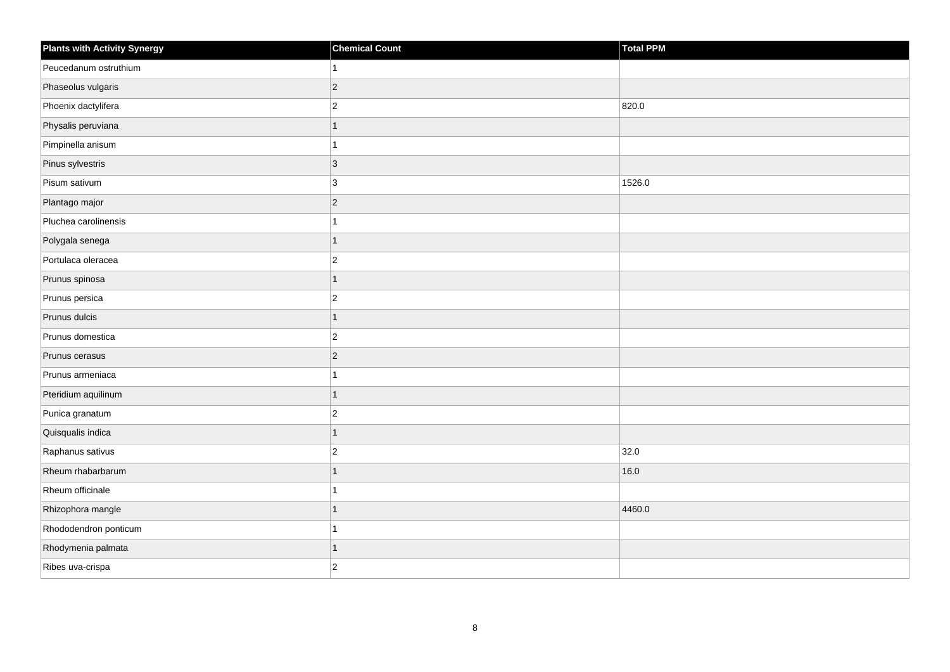| <b>Plants with Activity Synergy</b> | <b>Chemical Count</b>   | <b>Total PPM</b> |
|-------------------------------------|-------------------------|------------------|
| Peucedanum ostruthium               | 1                       |                  |
| Phaseolus vulgaris                  | $\overline{c}$          |                  |
| Phoenix dactylifera                 | $\overline{c}$          | 820.0            |
| Physalis peruviana                  | $\mathbf{1}$            |                  |
| Pimpinella anisum                   | 1                       |                  |
| Pinus sylvestris                    | $\mathbf{3}$            |                  |
| Pisum sativum                       | $\mathbf{3}$            | 1526.0           |
| Plantago major                      | $\overline{c}$          |                  |
| Pluchea carolinensis                | 1                       |                  |
| Polygala senega                     | $\mathbf{1}$            |                  |
| Portulaca oleracea                  | $\overline{\mathbf{c}}$ |                  |
| Prunus spinosa                      | $\overline{1}$          |                  |
| Prunus persica                      | $\boldsymbol{2}$        |                  |
| Prunus dulcis                       | $\overline{1}$          |                  |
| Prunus domestica                    | $\overline{c}$          |                  |
| Prunus cerasus                      | $\overline{c}$          |                  |
| Prunus armeniaca                    | 1                       |                  |
| Pteridium aquilinum                 | $\overline{1}$          |                  |
| Punica granatum                     | $\overline{c}$          |                  |
| Quisqualis indica                   | $\overline{1}$          |                  |
| Raphanus sativus                    | $\boldsymbol{2}$        | 32.0             |
| Rheum rhabarbarum                   | $\overline{1}$          | 16.0             |
| Rheum officinale                    | 1                       |                  |
| Rhizophora mangle                   | $\overline{1}$          | 4460.0           |
| Rhododendron ponticum               | 1                       |                  |
| Rhodymenia palmata                  | $\overline{1}$          |                  |
| Ribes uva-crispa                    | $\overline{2}$          |                  |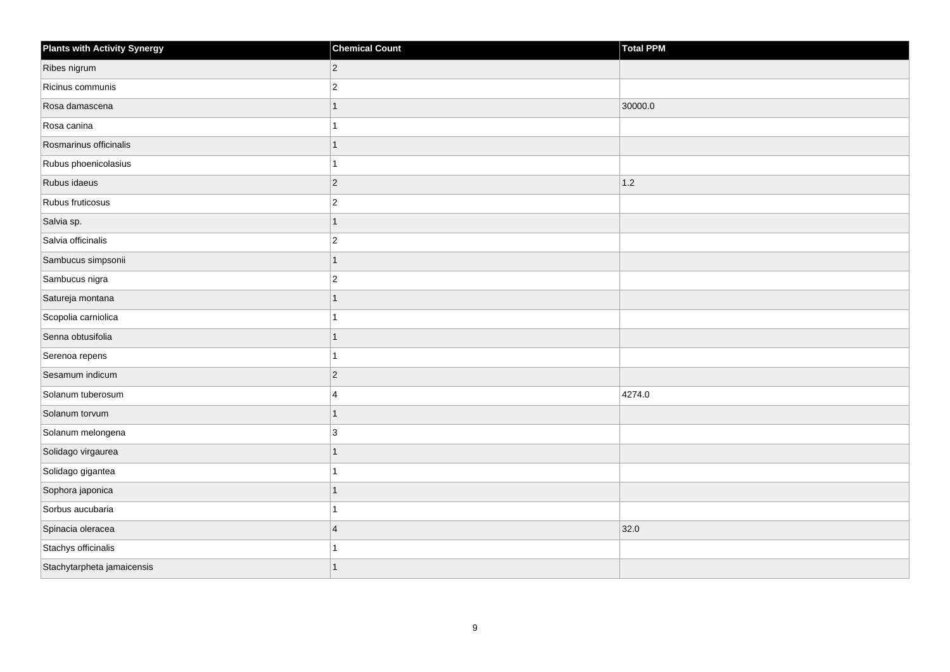| Plants with Activity Synergy | <b>Chemical Count</b> | Total PPM |
|------------------------------|-----------------------|-----------|
| Ribes nigrum                 | $ 2\rangle$           |           |
| Ricinus communis             | $ 2\rangle$           |           |
| Rosa damascena               | 1                     | 30000.0   |
| Rosa canina                  | 1                     |           |
| Rosmarinus officinalis       | $\mathbf{1}$          |           |
| Rubus phoenicolasius         | $\mathbf{1}$          |           |
| Rubus idaeus                 | $ 2\rangle$           | 1.2       |
| Rubus fruticosus             | $ 2\rangle$           |           |
| Salvia sp.                   | $\overline{1}$        |           |
| Salvia officinalis           | $ 2\rangle$           |           |
| Sambucus simpsonii           | $\overline{1}$        |           |
| Sambucus nigra               | $ 2\rangle$           |           |
| Satureja montana             | $\overline{1}$        |           |
| Scopolia carniolica          | 1                     |           |
| Senna obtusifolia            | $\overline{1}$        |           |
| Serenoa repens               | $\mathbf{1}$          |           |
| Sesamum indicum              | $ 2\rangle$           |           |
| Solanum tuberosum            | $\overline{4}$        | 4274.0    |
| Solanum torvum               | $\overline{1}$        |           |
| Solanum melongena            | 3                     |           |
| Solidago virgaurea           | $\overline{1}$        |           |
| Solidago gigantea            | 1                     |           |
| Sophora japonica             | 1                     |           |
| Sorbus aucubaria             | 1                     |           |
| Spinacia oleracea            | $\overline{4}$        | 32.0      |
| Stachys officinalis          | 1                     |           |
| Stachytarpheta jamaicensis   | 1                     |           |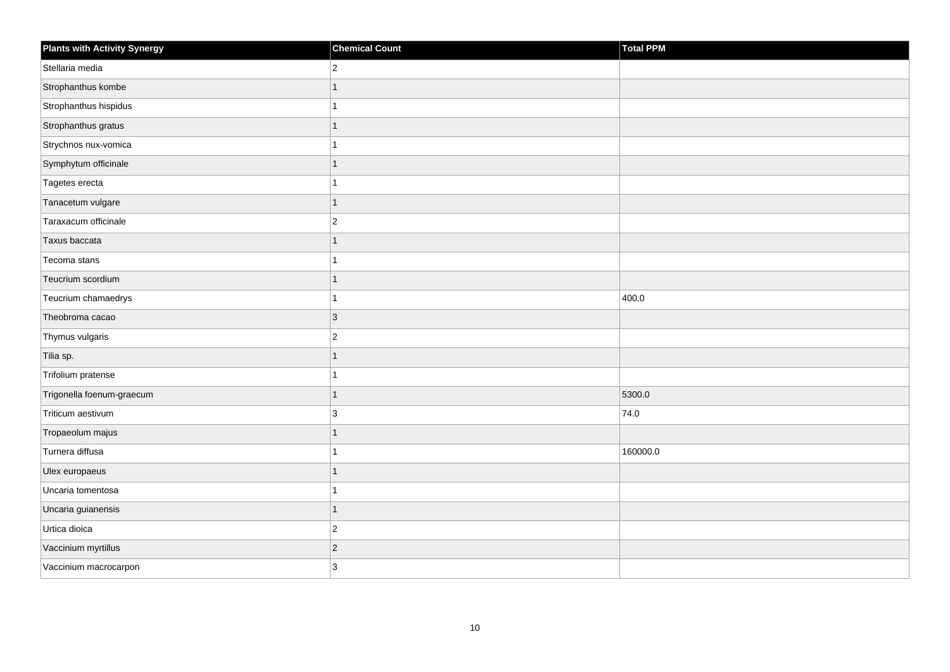| <b>Plants with Activity Synergy</b> | <b>Chemical Count</b>    | Total PPM |
|-------------------------------------|--------------------------|-----------|
| Stellaria media                     | $\overline{2}$           |           |
| Strophanthus kombe                  | 1                        |           |
| Strophanthus hispidus               |                          |           |
| Strophanthus gratus                 | 1                        |           |
| Strychnos nux-vomica                |                          |           |
| Symphytum officinale                | $\overline{\phantom{a}}$ |           |
| Tagetes erecta                      |                          |           |
| Tanacetum vulgare                   | 1                        |           |
| Taraxacum officinale                | $\overline{c}$           |           |
| Taxus baccata                       | $\overline{1}$           |           |
| Tecoma stans                        |                          |           |
| Teucrium scordium                   | 1                        |           |
| Teucrium chamaedrys                 | 1                        | 400.0     |
| Theobroma cacao                     | 3                        |           |
| Thymus vulgaris                     | $\overline{c}$           |           |
| Tilia sp.                           | 1                        |           |
| Trifolium pratense                  |                          |           |
| Trigonella foenum-graecum           | 1                        | 5300.0    |
| Triticum aestivum                   | 3                        | 74.0      |
| Tropaeolum majus                    | 1                        |           |
| Turnera diffusa                     |                          | 160000.0  |
| Ulex europaeus                      | $\overline{1}$           |           |
| Uncaria tomentosa                   |                          |           |
| Uncaria guianensis                  | 1                        |           |
| Urtica dioica                       | $\overline{c}$           |           |
| Vaccinium myrtillus                 | $\overline{c}$           |           |
| Vaccinium macrocarpon               | 3                        |           |